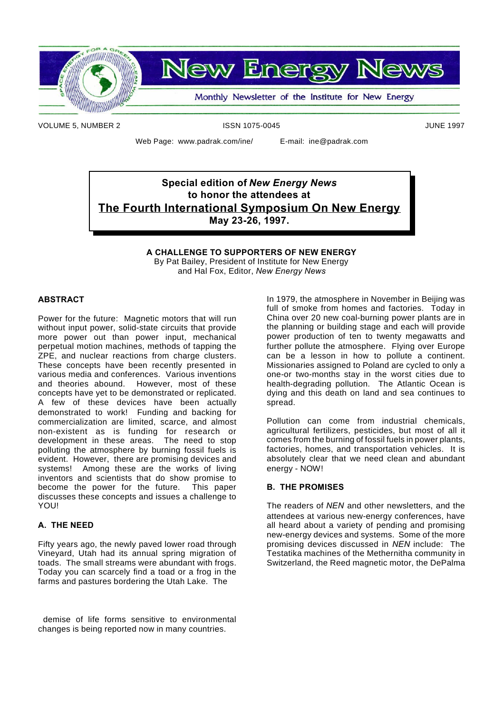

**New Energy News** 

Monthly Newsletter of the Institute for New Energy

VOLUME 5, NUMBER 2 **ISSN 1075-0045** ISSN 1075-0045

Web Page: www.padrak.com/ine/ E-mail: ine@padrak.com

## **Special edition of** *New Energy News* **to honor the attendees at The Fourth International Symposium On New Energy May 23-26, 1997.**

**A CHALLENGE TO SUPPORTERS OF NEW ENERGY** By Pat Bailey, President of Institute for New Energy and Hal Fox, Editor, *New Energy News*

#### **ABSTRACT**

Power for the future: Magnetic motors that will run without input power, solid-state circuits that provide more power out than power input, mechanical perpetual motion machines, methods of tapping the ZPE, and nuclear reactions from charge clusters. These concepts have been recently presented in various media and conferences. Various inventions and theories abound. However, most of these concepts have yet to be demonstrated or replicated. A few of these devices have been actually demonstrated to work! Funding and backing for commercialization are limited, scarce, and almost non-existent as is funding for research or development in these areas. The need to stop polluting the atmosphere by burning fossil fuels is evident. However, there are promising devices and systems! Among these are the works of living inventors and scientists that do show promise to become the power for the future. This paper discusses these concepts and issues a challenge to YOU!

#### **A. THE NEED**

Fifty years ago, the newly paved lower road through Vineyard, Utah had its annual spring migration of toads. The small streams were abundant with frogs. Today you can scarcely find a toad or a frog in the farms and pastures bordering the Utah Lake. The

demise of life forms sensitive to environmental changes is being reported now in many countries.

In 1979, the atmosphere in November in Beijing was full of smoke from homes and factories. Today in China over 20 new coal-burning power plants are in the planning or building stage and each will provide power production of ten to twenty megawatts and further pollute the atmosphere. Flying over Europe can be a lesson in how to pollute a continent. Missionaries assigned to Poland are cycled to only a one-or two-months stay in the worst cities due to health-degrading pollution. The Atlantic Ocean is dying and this death on land and sea continues to spread.

Pollution can come from industrial chemicals, agricultural fertilizers, pesticides, but most of all it comes from the burning of fossil fuels in power plants, factories, homes, and transportation vehicles. It is absolutely clear that we need clean and abundant energy - NOW!

#### **B. THE PROMISES**

The readers of *NEN* and other newsletters, and the attendees at various new-energy conferences, have all heard about a variety of pending and promising new-energy devices and systems. Some of the more promising devices discussed in *NEN* include: The Testatika machines of the Methernitha community in Switzerland, the Reed magnetic motor, the DePalma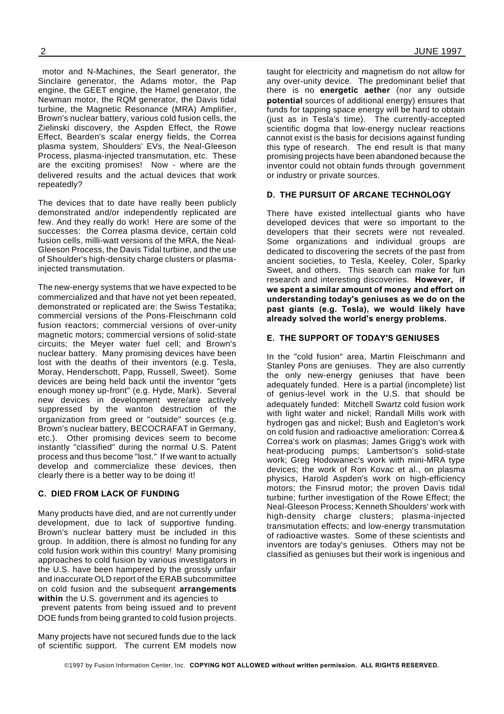motor and N-Machines, the Searl generator, the Sinclaire generator, the Adams motor, the Pap engine, the GEET engine, the Hamel generator, the Newman motor, the RQM generator, the Davis tidal turbine, the Magnetic Resonance (MRA) Amplifier, Brown's nuclear battery, various cold fusion cells, the Zielinski discovery, the Aspden Effect, the Rowe Effect, Bearden's scalar energy fields, the Correa plasma system, Shoulders' EVs, the Neal-Gleeson Process, plasma-injected transmutation, etc. These are the exciting promises! Now - where are the delivered results and the actual devices that work repeatedly?

The devices that to date have really been publicly demonstrated and/or independently replicated are few. And they really do work! Here are some of the successes: the Correa plasma device, certain cold fusion cells, milli-watt versions of the MRA, the Neal-Gleeson Process, the Davis Tidal turbine, and the use of Shoulder's high-density charge clusters or plasmainjected transmutation.

The new-energy systems that we have expected to be commercialized and that have not yet been repeated, demonstrated or replicated are: the Swiss Testatika; commercial versions of the Pons-Fleischmann cold fusion reactors; commercial versions of over-unity magnetic motors; commercial versions of solid-state circuits; the Meyer water fuel cell; and Brown's nuclear battery. Many promising devices have been lost with the deaths of their inventors (e.g. Tesla, Moray, Henderschott, Papp, Russell, Sweet). Some devices are being held back until the inventor "gets enough money up-front" (e.g. Hyde, Mark). Several new devices in development were/are actively suppressed by the wanton destruction of the organization from greed or "outside" sources (e.g. Brown's nuclear battery, BECOCRAFAT in Germany, etc.). Other promising devices seem to become instantly "classified" during the normal U.S. Patent process and thus become "lost." If we want to actually develop and commercialize these devices, then clearly there is a better way to be doing it!

#### **C. DIED FROM LACK OF FUNDING**

Many products have died, and are not currently under development, due to lack of supportive funding. Brown's nuclear battery must be included in this group. In addition, there is almost no funding for any cold fusion work within this country! Many promising approaches to cold fusion by various investigators in the U.S. have been hampered by the grossly unfair and inaccurate OLD report of the ERAB subcommittee on cold fusion and the subsequent **arrangements** within the U.S. government and its agencies to prevent patents from being issued and to prevent DOE funds from being granted to cold fusion projects.

Many projects have not secured funds due to the lack of scientific support. The current EM models now

taught for electricity and magnetism do not allow for any over-unity device. The predominant belief that there is no **energetic aether** (nor any outside **potential** sources of additional energy) ensures that funds for tapping space energy will be hard to obtain (just as in Tesla's time). The currently-accepted scientific dogma that low-energy nuclear reactions cannot exist is the basis for decisions against funding this type of research. The end result is that many promising projects have been abandoned because the inventor could not obtain funds through government

#### **D. THE PURSUIT OF ARCANE TECHNOLOGY**

or industry or private sources.

There have existed intellectual giants who have developed devices that were so important to the developers that their secrets were not revealed. Some organizations and individual groups are dedicated to discovering the secrets of the past from ancient societies, to Tesla, Keeley, Coler, Sparky Sweet, and others. This search can make for fun research and interesting discoveries. **However, if we spent a similar amount of money and effort on understanding today's geniuses as we do on the past giants (e.g. Tesla), we would likely have already solved the world's energy problems.**

#### **E. THE SUPPORT OF TODAY'S GENIUSES**

In the "cold fusion" area, Martin Fleischmann and Stanley Pons are geniuses. They are also currently the only new-energy geniuses that have been adequately funded. Here is a partial (incomplete) list of genius-level work in the U.S. that should be adequately funded: Mitchell Swartz cold fusion work with light water and nickel; Randall Mills work with hydrogen gas and nickel; Bush and Eagleton's work on cold fusion and radioactive amelioration: Correa & Correa's work on plasmas; James Grigg's work with heat-producing pumps; Lambertson's solid-state work; Greg Hodowanec's work with mini-MRA type devices; the work of Ron Kovac et al., on plasma physics, Harold Aspden's work on high-efficiency motors; the Finsrud motor; the proven Davis tidal turbine; further investigation of the Rowe Effect; the Neal-Gleeson Process; Kenneth Shoulders' work with high-density charge clusters; plasma-injected transmutation effects; and low-energy transmutation of radioactive wastes. Some of these scientists and inventors are today's geniuses. Others may not be classified as geniuses but their work is ingenious and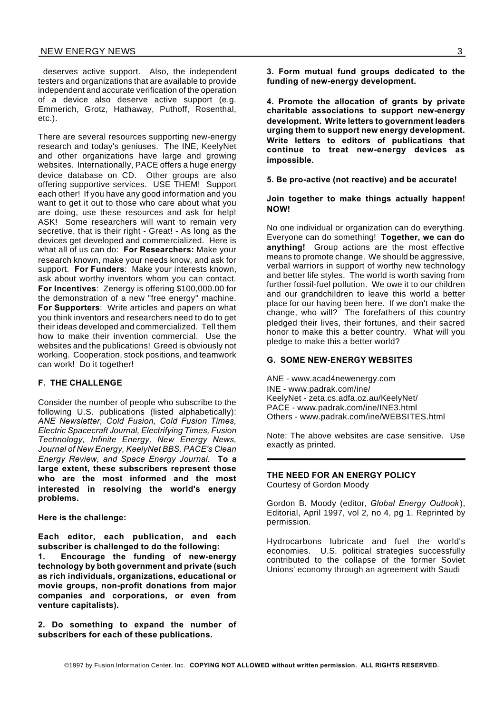deserves active support. Also, the independent testers and organizations that are available to provide independent and accurate verification of the operation of a device also deserve active support (e.g. Emmerich, Grotz, Hathaway, Puthoff, Rosenthal, etc.).

There are several resources supporting new-energy research and today's geniuses. The INE, KeelyNet and other organizations have large and growing websites. Internationally, PACE offers a huge energy device database on CD. Other groups are also offering supportive services. USE THEM! Support each other! If you have any good information and you want to get it out to those who care about what you are doing, use these resources and ask for help! ASK! Some researchers will want to remain very secretive, that is their right - Great! - As long as the devices get developed and commercialized. Here is what all of us can do: **For Researchers:** Make your research known, make your needs know, and ask for support. **For Funders**: Make your interests known, ask about worthy inventors whom you can contact. **For Incentives**: Zenergy is offering \$100,000.00 for the demonstration of a new "free energy" machine. **For Supporters**: Write articles and papers on what you think inventors and researchers need to do to get their ideas developed and commercialized. Tell them how to make their invention commercial. Use the websites and the publications! Greed is obviously not working. Cooperation, stock positions, and teamwork can work! Do it together!

#### **F. THE CHALLENGE**

Consider the number of people who subscribe to the following U.S. publications (listed alphabetically): *ANE Newsletter, Cold Fusion, Cold Fusion Times, Electric Spacecraft Journal, Electrifying Times, Fusion Technology, Infinite Energy, New Energy News, Journal of New Energy, KeelyNet BBS, PACE's Clean Energy Review, and Space Energy Journal.* **To a large extent, these subscribers represent those who are the most informed and the most interested in resolving the world's energy problems.**

**Here is the challenge:**

**Each editor, each publication, and each subscriber is challenged to do the following:**

**1. Encourage the funding of new-energy technology by both government and private (such as rich individuals, organizations, educational or movie groups, non-profit donations from major companies and corporations, or even from venture capitalists).**

**2. Do something to expand the number of subscribers for each of these publications.**

**3. Form mutual fund groups dedicated to the funding of new-energy development.**

**4. Promote the allocation of grants by private charitable associations to support new-energy development. Write letters to government leaders urging them to support new energy development. Write letters to editors of publications that continue to treat new-energy devices as impossible.**

**5. Be pro-active (not reactive) and be accurate!**

**Join together to make things actually happen! NOW!**

No one individual or organization can do everything. Everyone can do something! **Together, we can do anything!** Group actions are the most effective means to promote change. We should be aggressive, verbal warriors in support of worthy new technology and better life styles. The world is worth saving from further fossil-fuel pollution. We owe it to our children and our grandchildren to leave this world a better place for our having been here. If we don't make the change, who will? The forefathers of this country pledged their lives, their fortunes, and their sacred honor to make this a better country. What will you pledge to make this a better world?

#### **G. SOME NEW-ENERGY WEBSITES**

ANE - www.acad4newenergy.com INE - www.padrak.com/ine/ KeelyNet - zeta.cs.adfa.oz.au/KeelyNet/ PACE - www.padrak.com/ine/INE3.html Others - www.padrak.com/ine/WEBSITES.html

Note: The above websites are case sensitive. Use exactly as printed.

## **THE NEED FOR AN ENERGY POLICY**

Courtesy of Gordon Moody

Gordon B. Moody (editor, *Global Energy Outlook* ), Editorial, April 1997, vol 2, no 4, pg 1. Reprinted by permission.

Hydrocarbons lubricate and fuel the world's economies. U.S. political strategies successfully contributed to the collapse of the former Soviet Unions' economy through an agreement with Saudi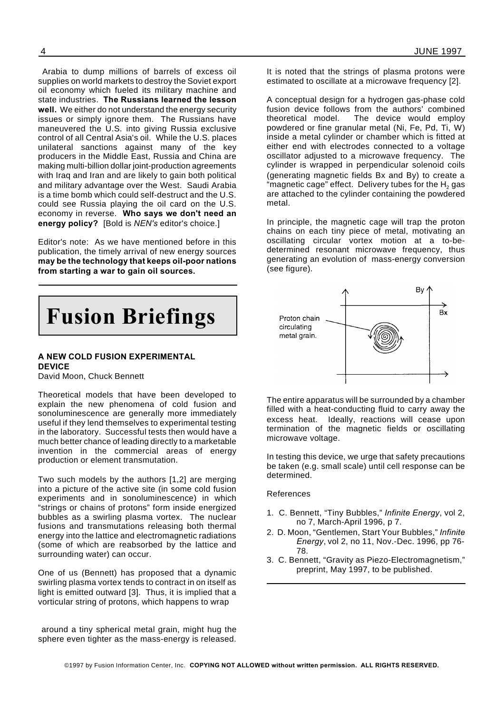Arabia to dump millions of barrels of excess oil supplies on world markets to destroy the Soviet export oil economy which fueled its military machine and state industries. **The Russians learned the lesson well.** We either do not understand the energy security issues or simply ignore them. The Russians have maneuvered the U.S. into giving Russia exclusive control of all Central Asia's oil. While the U.S. places unilateral sanctions against many of the key producers in the Middle East, Russia and China are making multi-billion dollar joint-production agreements with Iraq and Iran and are likely to gain both political and military advantage over the West. Saudi Arabia is a time bomb which could self-destruct and the U.S. could see Russia playing the oil card on the U.S. economy in reverse. **Who says we don't need an energy policy?** [Bold is *NEN's* editor's choice.]

Editor's note: As we have mentioned before in this publication, the timely arrival of new energy sources **may be the technology that keeps oil-poor nations from starting a war to gain oil sources.**

**Fusion Briefings**

#### **A NEW COLD FUSION EXPERIMENTAL DEVICE**

David Moon, Chuck Bennett

Theoretical models that have been developed to explain the new phenomena of cold fusion and sonoluminescence are generally more immediately useful if they lend themselves to experimental testing in the laboratory. Successful tests then would have a much better chance of leading directly to a marketable invention in the commercial areas of energy production or element transmutation.

Two such models by the authors [1,2] are merging into a picture of the active site (in some cold fusion experiments and in sonoluminescence) in which "strings or chains of protons" form inside energized bubbles as a swirling plasma vortex. The nuclear fusions and transmutations releasing both thermal energy into the lattice and electromagnetic radiations (some of which are reabsorbed by the lattice and surrounding water) can occur.

One of us (Bennett) has proposed that a dynamic swirling plasma vortex tends to contract in on itself as light is emitted outward [3]. Thus, it is implied that a vorticular string of protons, which happens to wrap

around a tiny spherical metal grain, might hug the sphere even tighter as the mass-energy is released.

It is noted that the strings of plasma protons were estimated to oscillate at a microwave frequency [2].

A conceptual design for a hydrogen gas-phase cold fusion device follows from the authors' combined theoretical model. The device would employ powdered or fine granular metal (Ni, Fe, Pd, Ti, W) inside a metal cylinder or chamber which is fitted at either end with electrodes connected to a voltage oscillator adjusted to a microwave frequency. The cylinder is wrapped in perpendicular solenoid coils (generating magnetic fields Bx and By) to create a "magnetic cage" effect. Delivery tubes for the  $H<sub>2</sub>$  gas are attached to the cylinder containing the powdered metal.

In principle, the magnetic cage will trap the proton chains on each tiny piece of metal, motivating an oscillating circular vortex motion at a to-bedetermined resonant microwave frequency, thus generating an evolution of mass-energy conversion (see figure).



The entire apparatus will be surrounded by a chamber filled with a heat-conducting fluid to carry away the excess heat. Ideally, reactions will cease upon termination of the magnetic fields or oscillating microwave voltage.

In testing this device, we urge that safety precautions be taken (e.g. small scale) until cell response can be determined.

#### References

- 1. C. Bennett, "Tiny Bubbles," *Infinite Energy*, vol 2, no 7, March-April 1996, p 7.
- 2. D. Moon, "Gentlemen, Start Your Bubbles," *Infinite Energy*, vol 2, no 11, Nov.-Dec. 1996, pp 76- 78.
- 3. C. Bennett, "Gravity as Piezo-Electromagnetism," preprint, May 1997, to be published.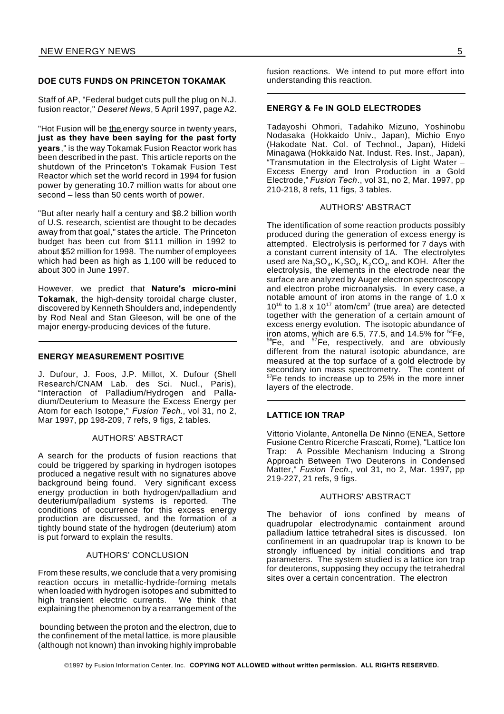#### **DOE CUTS FUNDS ON PRINCETON TOKAMAK**

Staff of AP, "Federal budget cuts pull the plug on N.J. fusion reactor," *Deseret News*, 5 April 1997, page A2.

"Hot Fusion will be the energy source in twenty years, **just as they have been saying for the past forty years**," is the way Tokamak Fusion Reactor work has been described in the past. This article reports on the shutdown of the Princeton's Tokamak Fusion Test Reactor which set the world record in 1994 for fusion power by generating 10.7 million watts for about one second – less than 50 cents worth of power.

"But after nearly half a century and \$8.2 billion worth of U.S. research, scientist are thought to be decades away from that goal," states the article. The Princeton budget has been cut from \$111 million in 1992 to about \$52 million for 1998. The number of employees which had been as high as 1,100 will be reduced to about 300 in June 1997.

However, we predict that **Nature's micro-mini Tokamak**, the high-density toroidal charge cluster, discovered by Kenneth Shoulders and, independently by Rod Neal and Stan Gleeson, will be one of the major energy-producing devices of the future.

#### **ENERGY MEASUREMENT POSITIVE**

J. Dufour, J. Foos, J.P. Millot, X. Dufour (Shell Research/CNAM Lab. des Sci. Nucl., Paris), "Interaction of Palladium/Hydrogen and Palladium/Deuterium to Measure the Excess Energy per Atom for each Isotope," *Fusion Tech*., vol 31, no 2, Mar 1997, pp 198-209, 7 refs, 9 figs, 2 tables.

#### AUTHORS' ABSTRACT

A search for the products of fusion reactions that could be triggered by sparking in hydrogen isotopes produced a negative result with no signatures above background being found. Very significant excess energy production in both hydrogen/palladium and<br>deuterium/palladium systems is reported. The deuterium/palladium systems is reported. conditions of occurrence for this excess energy production are discussed, and the formation of a tightly bound state of the hydrogen (deuterium) atom is put forward to explain the results.

#### AUTHORS' CONCLUSION

From these results, we conclude that a very promising reaction occurs in metallic-hydride-forming metals when loaded with hydrogen isotopes and submitted to high transient electric currents. We think that explaining the phenomenon by a rearrangement of the

bounding between the proton and the electron, due to the confinement of the metal lattice, is more plausible (although not known) than invoking highly improbable

fusion reactions. We intend to put more effort into understanding this reaction.

#### **ENERGY & Fe IN GOLD ELECTRODES**

Tadayoshi Ohmori, Tadahiko Mizuno, Yoshinobu Nodasaka (Hokkaido Univ., Japan), Michio Enyo (Hakodate Nat. Col. of Technol., Japan), Hideki Minagawa (Hokkaido Nat. Indust. Res. Inst., Japan), "Transmutation in the Electrolysis of Light Water – Excess Energy and Iron Production in a Gold Electrode," *Fusion Tech*., vol 31, no 2, Mar. 1997, pp 210-218, 8 refs, 11 figs, 3 tables.

#### AUTHORS' ABSTRACT

The identification of some reaction products possibly produced during the generation of excess energy is attempted. Electrolysis is performed for 7 days with a constant current intensity of 1A. The electrolytes used are Na $_2$ SO $_4$ , K $_2$ SO $_4$ , K $_2$ CO $_4$ , and KOH. After the electrolysis, the elements in the electrode near the surface are analyzed by Auger electron spectroscopy and electron probe microanalysis. In every case, a notable amount of iron atoms in the range of 1.0 x  $10^{16}$  to 1.8 x  $10^{17}$  atom/cm<sup>2</sup> (true area) are detected together with the generation of a certain amount of excess energy evolution. The isotopic abundance of iron atoms, which are 6.5, 77.5, and 14.5% for  $54$ Fe, <sup>56</sup>Fe, and <sup>57</sup>Fe, respectively, and are obviously different from the natural isotopic abundance, are measured at the top surface of a gold electrode by secondary ion mass spectrometry. The content of  $57$ Fe tends to increase up to 25% in the more inner layers of the electrode.

#### **LATTICE ION TRAP**

Vittorio Violante, Antonella De Ninno (ENEA, Settore Fusione Centro Ricerche Frascati, Rome), "Lattice Ion Trap: A Possible Mechanism Inducing a Strong Approach Between Two Deuterons in Condensed Matter," *Fusion Tech*., vol 31, no 2, Mar. 1997, pp 219-227, 21 refs, 9 figs.

#### AUTHORS' ABSTRACT

The behavior of ions confined by means of quadrupolar electrodynamic containment around palladium lattice tetrahedral sites is discussed. Ion confinement in an quadrupolar trap is known to be strongly influenced by initial conditions and trap parameters. The system studied is a lattice ion trap for deuterons, supposing they occupy the tetrahedral sites over a certain concentration. The electron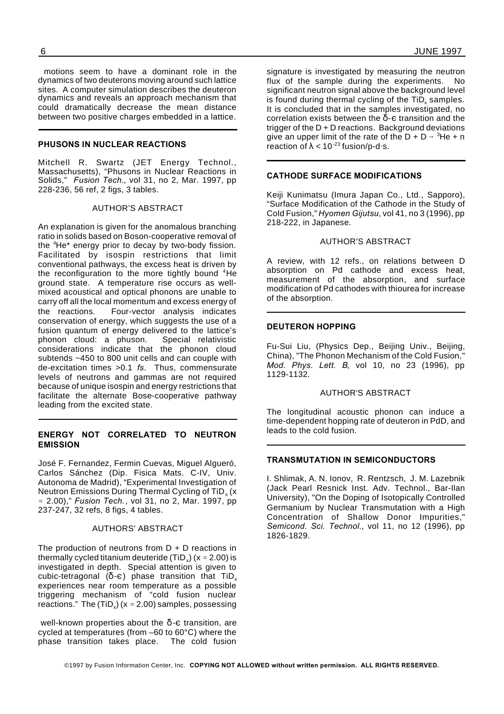motions seem to have a dominant role in the dynamics of two deuterons moving around such lattice sites. A computer simulation describes the deuteron dynamics and reveals an approach mechanism that could dramatically decrease the mean distance between two positive charges embedded in a lattice.

#### **PHUSONS IN NUCLEAR REACTIONS**

Mitchell R. Swartz (JET Energy Technol., Massachusetts), "Phusons in Nuclear Reactions in Solids," *Fusion Tech.*, vol 31, no 2, Mar. 1997, pp 228-236, 56 ref, 2 figs, 3 tables.

#### AUTHOR'S ABSTRACT

An explanation is given for the anomalous branching ratio in solids based on Boson-cooperative removal of the <sup>4</sup>He<sup>\*</sup> energy prior to decay by two-body fission. Facilitated by isospin restrictions that limit conventional pathways, the excess heat is driven by the reconfiguration to the more tightly bound <sup>4</sup>He ground state. A temperature rise occurs as wellmixed acoustical and optical phonons are unable to carry off all the local momentum and excess energy of the reactions. Four-vector analysis indicates conservation of energy, which suggests the use of a fusion quantum of energy delivered to the lattice's phonon cloud: a phuson. Special relativistic considerations indicate that the phonon cloud subtends ~450 to 800 unit cells and can couple with de-excitation times >0.1 *fs*. Thus, commensurate levels of neutrons and gammas are not required because of unique isospin and energy restrictions that facilitate the alternate Bose-cooperative pathway leading from the excited state.

#### **ENERGY NOT CORRELATED TO NEUTRON EMISSION**

José F. Fernandez, Fermin Cuevas, Miguel Algueró, Carlos Sánchez (Dip. Fisica Mats. C-IV, Univ. Autonoma de Madrid), "Experimental Investigation of Neutron Emissions During Thermal Cycling of TiD $_{\mathrm{x}}$  (x 2.00)," *Fusion Tech.*, vol 31, no 2, Mar. 1997, pp 237-247, 32 refs, 8 figs, 4 tables.

#### AUTHORS' ABSTRACT

The production of neutrons from  $D + D$  reactions in thermally cycled titanium deuteride (TiD $_{\mathrm{x}}$ ) (x  $\approx$  2.00) is investigated in depth. Special attention is given to cubic-tetragonal ( $\delta$ - $\varepsilon$ ) phase transition that TiD<sub>x</sub> experiences near room temperature as a possible triggering mechanism of "cold fusion nuclear reactions." The (TiD<sub>x</sub>) (x  $\approx$  2.00) samples, possessing

well-known properties about the  $\delta$ -c transition, are cycled at temperatures (from –60 to 60°C) where the phase transition takes place. The cold fusion

signature is investigated by measuring the neutron flux of the sample during the experiments. No significant neutron signal above the background level is found during thermal cycling of the TiD<sub>x</sub> samples. It is concluded that in the samples investigated, no correlation exists between the  $\delta$ - $\epsilon$  transition and the trigger of the  $D + D$  reactions. Background deviations give an upper limit of the rate of the  $D + D \rightarrow {}^{3}He + n$ reaction of  $\lambda$  < 10<sup>-23</sup> fusion/p-d·s.

#### **CATHODE SURFACE MODIFICATIONS**

Keiji Kunimatsu (Imura Japan Co., Ltd., Sapporo), "Surface Modification of the Cathode in the Study of Cold Fusion," *Hyomen Gijutsu*, vol 41, no 3 (1996), pp 218-222, in Japanese.

#### AUTHOR'S ABSTRACT

A review, with 12 refs., on relations between D absorption on Pd cathode and excess heat, measurement of the absorption, and surface modification of Pd cathodes with thiourea for increase of the absorption.

#### **DEUTERON HOPPING**

Fu-Sui Liu, (Physics Dep., Beijing Univ., Beijing, China), "The Phonon Mechanism of the Cold Fusion," *Mod. Phys. Lett. B*, vol 10, no 23 (1996), pp 1129-1132.

#### AUTHOR'S ABSTRACT

The longitudinal acoustic phonon can induce a time-dependent hopping rate of deuteron in PdD, and leads to the cold fusion.

#### **TRANSMUTATION IN SEMICONDUCTORS**

I. Shlimak, A. N. Ionov, R. Rentzsch, J. M. Lazebnik (Jack Pearl Resnick Inst. Adv. Technol., Bar-Ilan University), "On the Doping of Isotopically Controlled Germanium by Nuclear Transmutation with a High Concentration of Shallow Donor Impurities," *Semicond. Sci. Technol*., vol 11, no 12 (1996), pp 1826-1829.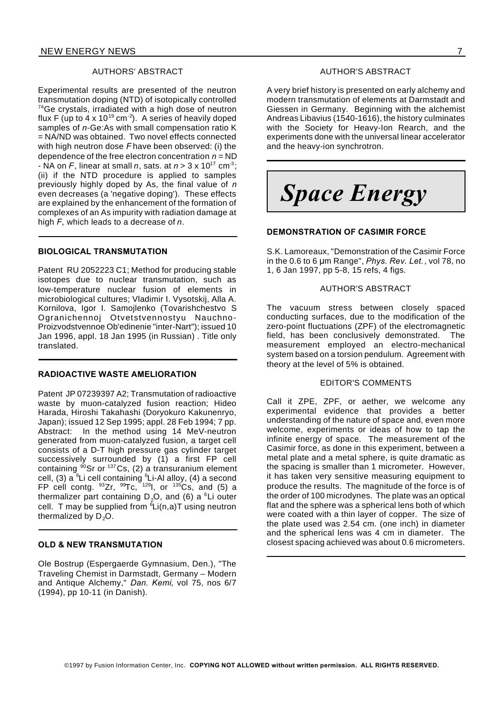#### AUTHORS' ABSTRACT

Experimental results are presented of the neutron transmutation doping (NTD) of isotopically controlled <sup>74</sup>Ge crystals, irradiated with a high dose of neutron flux F (up to 4 x 10<sup>19</sup> cm<sup>-2</sup>). A series of heavily doped samples of *n*-Ge:As with small compensation ratio K = NA/ND was obtained. Two novel effects connected with high neutron dose *F* have been observed: (i) the dependence of the free electron concentration *n* = ND - NA on  $F$ , linear at small  $n$ , sats. at  $n > 3 \times 10^{17}$  cm<sup>-3</sup>; (ii) if the NTD procedure is applied to samples previously highly doped by As, the final value of *n* even decreases (a 'negative doping'). These effects are explained by the enhancement of the formation of complexes of an As impurity with radiation damage at high *F*, which leads to a decrease of *n*.

#### **BIOLOGICAL TRANSMUTATION**

Patent RU 2052223 C1; Method for producing stable isotopes due to nuclear transmutation, such as low-temperature nuclear fusion of elements in microbiological cultures; Vladimir I. Vysotskij, Alla A. Kornilova, Igor I. Samojlenko (Tovarishchestvo S Ogranichennoj Otvetstvennostyu Nauchno-Proizvodstvennoe Ob'edinenie "inter-Nart"); issued 10 Jan 1996, appl. 18 Jan 1995 (in Russian) . Title only translated.

#### **RADIOACTIVE WASTE AMELIORATION**

Patent JP 07239397 A2; Transmutation of radioactive waste by muon-catalyzed fusion reaction; Hideo Harada, Hiroshi Takahashi (Doryokuro Kakunenryo, Japan); issued 12 Sep 1995; appl. 28 Feb 1994; 7 pp. Abstract: In the method using 14 MeV-neutron generated from muon-catalyzed fusion, a target cell consists of a D-T high pressure gas cylinder target successively surrounded by (1) a first FP cell containing  $\frac{90}{9}$ Sr or  $\frac{137}{2}$ Cs, (2) a transuranium element cell, (3)  $a^6$ Li cell containing  $6$ Li-Al alloy, (4) a second FP cell contg.  $93Zr$ ,  $99Tc$ ,  $1291$ , or  $135Cs$ , and (5) a thermalizer part containing  $D_2O$ , and (6) a <sup>6</sup>Li outer cell. T may be supplied from  ${}^6Li(n,a)T$  using neutron thermalized by  $D_2O$ .

#### **OLD & NEW TRANSMUTATION**

Ole Bostrup (Espergaerde Gymnasium, Den.), "The Traveling Chemist in Darmstadt, Germany – Modern and Antique Alchemy," *Dan. Kemi*, vol 75, nos 6/7 (1994), pp 10-11 (in Danish).

#### AUTHOR'S ABSTRACT

A very brief history is presented on early alchemy and modern transmutation of elements at Darmstadt and Giessen in Germany. Beginning with the alchemist Andreas Libavius (1540-1616), the history culminates with the Society for Heavy-Ion Rearch, and the experiments done with the universal linear accelerator and the heavy-ion synchrotron.

*Space Energy*

#### **DEMONSTRATION OF CASIMIR FORCE**

S.K. Lamoreaux, "Demonstration of the Casimir Force in the 0.6 to 6 µm Range", *Phys. Rev. Let.*, vol 78, no 1, 6 Jan 1997, pp 5-8, 15 refs, 4 figs.

#### AUTHOR'S ABSTRACT

The vacuum stress between closely spaced conducting surfaces, due to the modification of the zero-point fluctuations (ZPF) of the electromagnetic field, has been conclusively demonstrated. The measurement employed an electro-mechanical system based on a torsion pendulum. Agreement with theory at the level of 5% is obtained.

#### EDITOR'S COMMENTS

Call it ZPE, ZPF, or aether, we welcome any experimental evidence that provides a better understanding of the nature of space and, even more welcome, experiments or ideas of how to tap the infinite energy of space. The measurement of the Casimir force, as done in this experiment, between a metal plate and a metal sphere, is quite dramatic as the spacing is smaller than 1 micrometer. However, it has taken very sensitive measuring equipment to produce the results. The magnitude of the force is of the order of 100 microdynes. The plate was an optical flat and the sphere was a spherical lens both of which were coated with a thin layer of copper. The size of the plate used was 2.54 cm. (one inch) in diameter and the spherical lens was 4 cm in diameter. The closest spacing achieved was about 0.6 micrometers.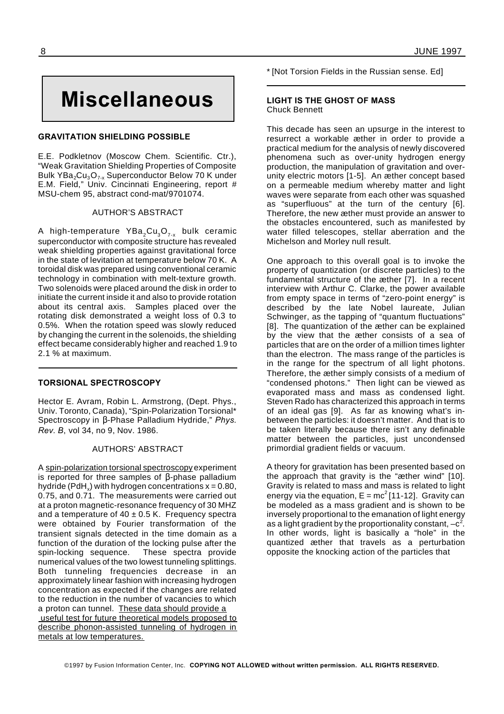# **Miscellaneous**

#### **GRAVITATION SHIELDING POSSIBLE**

E.E. Podkletnov (Moscow Chem. Scientific. Ctr.), "Weak Gravitation Shielding Properties of Composite Bulk YBa<sub>2</sub>Cu<sub>3</sub>O<sub>7-x</sub> Superconductor Below 70 K under E.M. Field," Univ. Cincinnati Engineering, report # MSU-chem 95, abstract cond-mat/9701074.

#### AUTHOR'S ABSTRACT

A high-temperature  $YBa<sub>2</sub>Cu<sub>3</sub>O<sub>7-x</sub>$  bulk ceramic superconductor with composite structure has revealed weak shielding properties against gravitational force in the state of levitation at temperature below 70 K. A toroidal disk was prepared using conventional ceramic technology in combination with melt-texture growth. Two solenoids were placed around the disk in order to initiate the current inside it and also to provide rotation about its central axis. Samples placed over the rotating disk demonstrated a weight loss of 0.3 to 0.5%. When the rotation speed was slowly reduced by changing the current in the solenoids, the shielding effect became considerably higher and reached 1.9 to 2.1 % at maximum.

#### **TORSIONAL SPECTROSCOPY**

Hector E. Avram, Robin L. Armstrong, (Dept. Phys., Univ. Toronto, Canada), "Spin-Polarization Torsional\* Spectroscopy in β-Phase Palladium Hydride," Phys. *Rev. B*, vol 34, no 9, Nov. 1986.

#### AUTHORS' ABSTRACT

A spin-polarization torsional spectroscopy experiment is reported for three samples of  $\beta$ -phase palladium hydride (PdH $_{\mathrm{x}}$ ) with hydrogen concentrations x = 0.80, 0.75, and 0.71. The measurements were carried out at a proton magnetic-resonance frequency of 30 MHZ and a temperature of  $40 \pm 0.5$  K. Frequency spectra were obtained by Fourier transformation of the transient signals detected in the time domain as a function of the duration of the locking pulse after the spin-locking sequence. These spectra provide numerical values of the two lowest tunneling splittings. Both tunneling frequencies decrease in an approximately linear fashion with increasing hydrogen concentration as expected if the changes are related to the reduction in the number of vacancies to which a proton can tunnel. These data should provide a useful test for future theoretical models proposed to describe phonon-assisted tunneling of hydrogen in metals at low temperatures.

\* [Not Torsion Fields in the Russian sense. Ed]

#### **LIGHT IS THE GHOST OF MASS** Chuck Bennett

This decade has seen an upsurge in the interest to resurrect a workable æther in order to provide a practical medium for the analysis of newly discovered phenomena such as over-unity hydrogen energy production, the manipulation of gravitation and overunity electric motors [1-5]. An æther concept based on a permeable medium whereby matter and light waves were separate from each other was squashed as "superfluous" at the turn of the century [6]. Therefore, the new æther must provide an answer to the obstacles encountered, such as manifested by water filled telescopes, stellar aberration and the Michelson and Morley null result.

One approach to this overall goal is to invoke the property of quantization (or discrete particles) to the fundamental structure of the æther [7]. In a recent interview with Arthur C. Clarke, the power available from empty space in terms of "zero-point energy" is described by the late Nobel laureate, Julian Schwinger, as the tapping of "quantum fluctuations" [8]. The quantization of the æther can be explained by the view that the æther consists of a sea of particles that are on the order of a million times lighter than the electron. The mass range of the particles is in the range for the spectrum of all light photons. Therefore, the æther simply consists of a medium of "condensed photons." Then light can be viewed as evaporated mass and mass as condensed light. Steven Rado has characterized this approach in terms of an ideal gas [9]. As far as knowing what's inbetween the particles: it doesn't matter. And that is to be taken literally because there isn't any definable matter between the particles, just uncondensed primordial gradient fields or vacuum.

A theory for gravitation has been presented based on the approach that gravity is the "æther wind" [10]. Gravity is related to mass and mass is related to light energy via the equation,  $\sf E$  = m ${\rm c^2}$ [11-12]. Gravity can be modeled as a mass gradient and is shown to be inversely proportional to the emanation of light energy as a light gradient by the proportionality constant,  $-{\bf c}^2$ . In other words, light is basically a "hole" in the quantized æther that travels as a perturbation opposite the knocking action of the particles that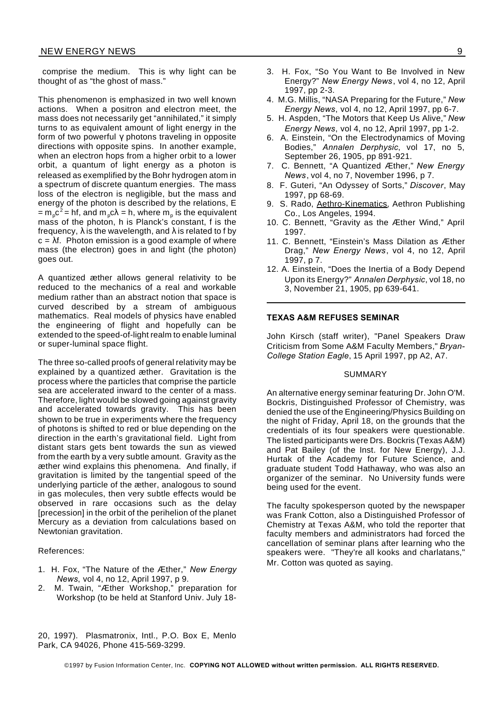comprise the medium. This is why light can be thought of as "the ghost of mass."

This phenomenon is emphasized in two well known actions. When a positron and electron meet, the mass does not necessarily get "annihilated," it simply turns to as equivalent amount of light energy in the form of two powerful  $\gamma$  photons traveling in opposite directions with opposite spins. In another example, when an electron hops from a higher orbit to a lower orbit, a quantum of light energy as a photon is released as exemplified by the Bohr hydrogen atom in a spectrum of discrete quantum energies. The mass loss of the electron is negligible, but the mass and energy of the photon is described by the relations, E = m<sub>p</sub>c<sup>2</sup> = hf, and m<sub>p</sub>c $\lambda$  = h, where m<sub>p</sub> is the equivalent mass of the photon, h is Planck's constant, f is the frequency,  $\lambda$  is the wavelength, and  $\lambda$  is related to f by  $c = \lambda f$ . Photon emission is a good example of where mass (the electron) goes in and light (the photon) goes out.

A quantized æther allows general relativity to be reduced to the mechanics of a real and workable medium rather than an abstract notion that space is curved described by a stream of ambiguous mathematics. Real models of physics have enabled the engineering of flight and hopefully can be extended to the speed-of-light realm to enable luminal or super-luminal space flight.

The three so-called proofs of general relativity may be explained by a quantized æther. Gravitation is the process where the particles that comprise the particle sea are accelerated inward to the center of a mass. Therefore, light would be slowed going against gravity and accelerated towards gravity. This has been shown to be true in experiments where the frequency of photons is shifted to red or blue depending on the direction in the earth's gravitational field. Light from distant stars gets bent towards the sun as viewed from the earth by a very subtle amount. Gravity as the æther wind explains this phenomena. And finally, if gravitation is limited by the tangential speed of the underlying particle of the æther, analogous to sound in gas molecules, then very subtle effects would be observed in rare occasions such as the delay [precession] in the orbit of the perihelion of the planet Mercury as a deviation from calculations based on Newtonian gravitation.

#### References:

- 1. H. Fox, "The Nature of the Æther," *New Energy News*, vol 4, no 12, April 1997, p 9.
- 2. M. Twain, "Æther Workshop," preparation for Workshop (to be held at Stanford Univ. July 18-
- 3. H. Fox, "So You Want to Be Involved in New Energy?" *New Energy News*, vol 4, no 12, April 1997, pp 2-3.
- 4. M.G. Millis, "NASA Preparing for the Future," *New Energy News*, vol 4, no 12, April 1997, pp 6-7.
- 5. H. Aspden, "The Motors that Keep Us Alive," *New Energy News*, vol 4, no 12, April 1997, pp 1-2.
- 6. A. Einstein, "On the Electrodynamics of Moving Bodies," *Annalen Derphysic*, vol 17, no 5, September 26, 1905, pp 891-921.
- 7. C. Bennett, "A Quantized Æther," *New Energy News*, vol 4, no 7, November 1996, p 7.
- 8. F. Guteri, "An Odyssey of Sorts," *Discover*, May 1997, pp 68-69.
- 9. S. Rado, Aethro-Kinematics, Aethron Publishing Co., Los Angeles, 1994.
- 10. C. Bennett, "Gravity as the Æther Wind," April 1997.
- 11. C. Bennett, "Einstein's Mass Dilation as Æther Drag," *New Energy News*, vol 4, no 12, April 1997, p 7.
- 12. A. Einstein, "Does the Inertia of a Body Depend Upon its Energy?" *Annalen Derphysic*, vol 18, no 3, November 21, 1905, pp 639-641.

#### **TEXAS A&M REFUSES SEMINAR**

John Kirsch (staff writer), "Panel Speakers Draw Criticism from Some A&M Faculty Members," *Bryan-College Station Eagle*, 15 April 1997, pp A2, A7.

#### SUMMARY

An alternative energy seminar featuring Dr. John O'M. Bockris, Distinguished Professor of Chemistry, was denied the use of the Engineering/Physics Building on the night of Friday, April 18, on the grounds that the credentials of its four speakers were questionable. The listed participants were Drs. Bockris (Texas A&M) and Pat Bailey (of the Inst. for New Energy), J.J. Hurtak of the Academy for Future Science, and graduate student Todd Hathaway, who was also an organizer of the seminar. No University funds were being used for the event.

The faculty spokesperson quoted by the newspaper was Frank Cotton, also a Distinguished Professor of Chemistry at Texas A&M, who told the reporter that faculty members and administrators had forced the cancellation of seminar plans after learning who the speakers were. "They're all kooks and charlatans," Mr. Cotton was quoted as saying.

20, 1997). Plasmatronix, Intl., P.O. Box E, Menlo Park, CA 94026, Phone 415-569-3299.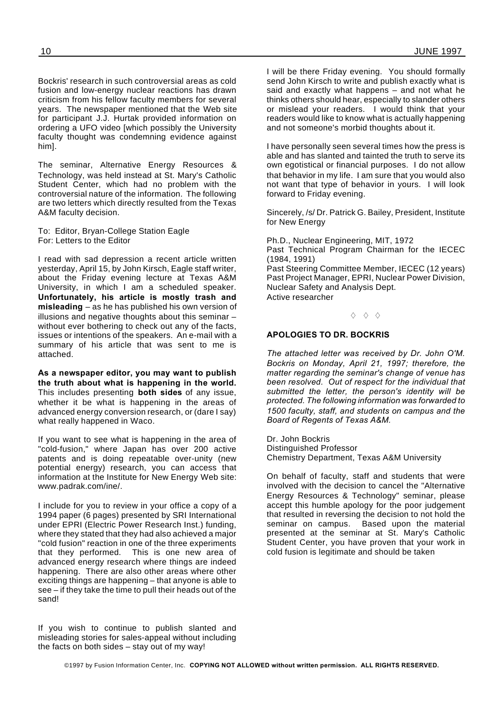Bockris' research in such controversial areas as cold fusion and low-energy nuclear reactions has drawn criticism from his fellow faculty members for several years. The newspaper mentioned that the Web site for participant J.J. Hurtak provided information on ordering a UFO video [which possibly the University faculty thought was condemning evidence against him].

The seminar, Alternative Energy Resources & Technology, was held instead at St. Mary's Catholic Student Center, which had no problem with the controversial nature of the information. The following are two letters which directly resulted from the Texas A&M faculty decision.

To: Editor, Bryan-College Station Eagle For: Letters to the Editor

I read with sad depression a recent article written yesterday, April 15, by John Kirsch, Eagle staff writer, about the Friday evening lecture at Texas A&M University, in which I am a scheduled speaker. **Unfortunately, his article is mostly trash and misleading** – as he has published his own version of illusions and negative thoughts about this seminar – without ever bothering to check out any of the facts, issues or intentions of the speakers. An e-mail with a summary of his article that was sent to me is attached.

**As a newspaper editor, you may want to publish the truth about what is happening in the world.** This includes presenting **both sides** of any issue, whether it be what is happening in the areas of advanced energy conversion research, or (dare I say) what really happened in Waco.

If you want to see what is happening in the area of "cold-fusion," where Japan has over 200 active patents and is doing repeatable over-unity (new potential energy) research, you can access that information at the Institute for New Energy Web site: www.padrak.com/ine/.

I include for you to review in your office a copy of a 1994 paper (6 pages) presented by SRI International under EPRI (Electric Power Research Inst.) funding, where they stated that they had also achieved a major "cold fusion" reaction in one of the three experiments that they performed. This is one new area of advanced energy research where things are indeed happening. There are also other areas where other exciting things are happening – that anyone is able to see – if they take the time to pull their heads out of the sand!

If you wish to continue to publish slanted and misleading stories for sales-appeal without including the facts on both sides – stay out of my way!

I will be there Friday evening. You should formally send John Kirsch to write and publish exactly what is said and exactly what happens – and not what he thinks others should hear, especially to slander others or mislead your readers. I would think that your readers would like to know what is actually happening and not someone's morbid thoughts about it.

I have personally seen several times how the press is able and has slanted and tainted the truth to serve its own egotistical or financial purposes. I do not allow that behavior in my life. I am sure that you would also not want that type of behavior in yours. I will look forward to Friday evening.

Sincerely, /s/ Dr. Patrick G. Bailey, President, Institute for New Energy

Ph.D., Nuclear Engineering, MIT, 1972 Past Technical Program Chairman for the IECEC (1984, 1991) Past Steering Committee Member, IECEC (12 years) Past Project Manager, EPRI, Nuclear Power Division, Nuclear Safety and Analysis Dept. Active researcher

 $\Diamond$   $\Diamond$   $\Diamond$ 

#### **APOLOGIES TO DR. BOCKRIS**

*The attached letter was received by Dr. John O'M. Bockris on Monday, April 21, 1997; therefore, the matter regarding the seminar's change of venue has been resolved. Out of respect for the individual that submitted the letter, the person's identity will be protected. The following information was forwarded to 1500 faculty, staff, and students on campus and the Board of Regents of Texas A&M.*

Dr. John Bockris Distinguished Professor Chemistry Department, Texas A&M University

On behalf of faculty, staff and students that were involved with the decision to cancel the "Alternative Energy Resources & Technology" seminar, please accept this humble apology for the poor judgement that resulted in reversing the decision to not hold the<br>seminar on campus. Based upon the material Based upon the material presented at the seminar at St. Mary's Catholic Student Center, you have proven that your work in cold fusion is legitimate and should be taken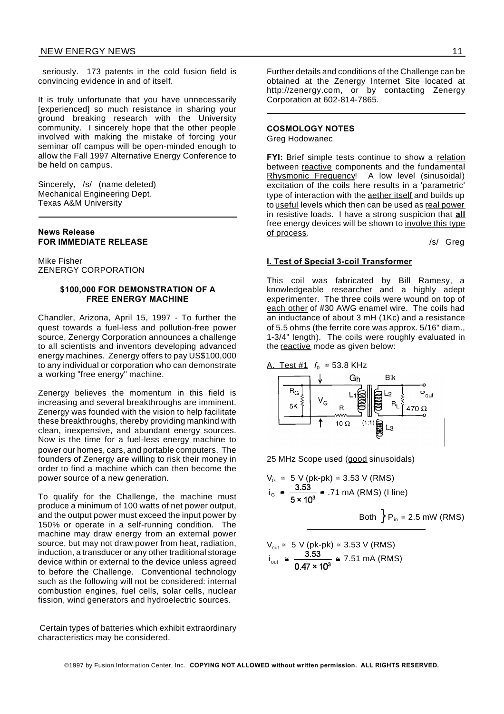seriously. 173 patents in the cold fusion field is convincing evidence in and of itself.

It is truly unfortunate that you have unnecessarily [experienced] so much resistance in sharing your ground breaking research with the University community. I sincerely hope that the other people involved with making the mistake of forcing your seminar off campus will be open-minded enough to allow the Fall 1997 Alternative Energy Conference to be held on campus.

Sincerely, /s/ (name deleted) Mechanical Engineering Dept. Texas A&M University

#### **News Release FOR IMMEDIATE RELEASE**

Mike Fisher ZENERGY CORPORATION

#### **\$100,000 FOR DEMONSTRATION OF A FREE ENERGY MACHINE**

Chandler, Arizona, April 15, 1997 - To further the quest towards a fuel-less and pollution-free power source, Zenergy Corporation announces a challenge to all scientists and inventors developing advanced energy machines. Zenergy offers to pay US\$100,000 to any individual or corporation who can demonstrate a working "free energy" machine.

Zenergy believes the momentum in this field is increasing and several breakthroughs are imminent. Zenergy was founded with the vision to help facilitate these breakthroughs, thereby providing mankind with clean, inexpensive, and abundant energy sources. Now is the time for a fuel-less energy machine to power our homes, cars, and portable computers. The founders of Zenergy are willing to risk their money in order to find a machine which can then become the power source of a new generation.

To qualify for the Challenge, the machine must produce a minimum of 100 watts of net power output, and the output power must exceed the input power by 150% or operate in a self-running condition. The machine may draw energy from an external power source, but may not draw power from heat, radiation, induction, a transducer or any other traditional storage device within or external to the device unless agreed to before the Challenge. Conventional technology such as the following will not be considered: internal combustion engines, fuel cells, solar cells, nuclear fission, wind generators and hydroelectric sources.

Certain types of batteries which exhibit extraordinary characteristics may be considered.

Further details and conditions of the Challenge can be obtained at the Zenergy Internet Site located at http://zenergy.com, or by contacting Zenergy Corporation at 602-814-7865.

#### **COSMOLOGY NOTES**

Greg Hodowanec

**FYI:** Brief simple tests continue to show a relation between reactive components and the fundamental Rhysmonic Frequency! A low level (sinusoidal) excitation of the coils here results in a 'parametric' type of interaction with the aether itself and builds up to useful levels which then can be used as real power in resistive loads. I have a strong suspicion that **all** free energy devices will be shown to involve this type of process.

/s/ Greg

#### **I. Test of Special 3-coil Transformer**

This coil was fabricated by Bill Ramesy, a knowledgeable researcher and a highly adept experimenter. The three coils were wound on top of each other of #30 AWG enamel wire. The coils had an inductance of about 3 mH (1Kc) and a resistance of 5.5 ohms (the ferrite core was approx. 5/16" diam., 1-3/4" length). The coils were roughly evaluated in the reactive mode as given below:

A. Test #1 *f*<sub>0</sub> ≅ 53.8 KHz



25 MHz Scope used (good sinusoidals)

$$
V_{G}
$$
 ≈ 5 V (pk-pk) ≈ 3.53 V (RMS)  
\ni<sub>G</sub> ≃  $\frac{3.53}{5 \times 10^{3}}$  ≈ .71 mA (RMS) (I line)  
\nBoth  $\}P_{in}$  ≈ 2.5 mW (RMS)

$$
V_{\text{out}} \cong 5 \text{ V (pk-pk)} \cong 3.53 \text{ V (RMS)}
$$
  

$$
i_{\text{out}} \cong \frac{3.53}{0.47 \times 10^3} \cong 7.51 \text{ mA (RMS)}
$$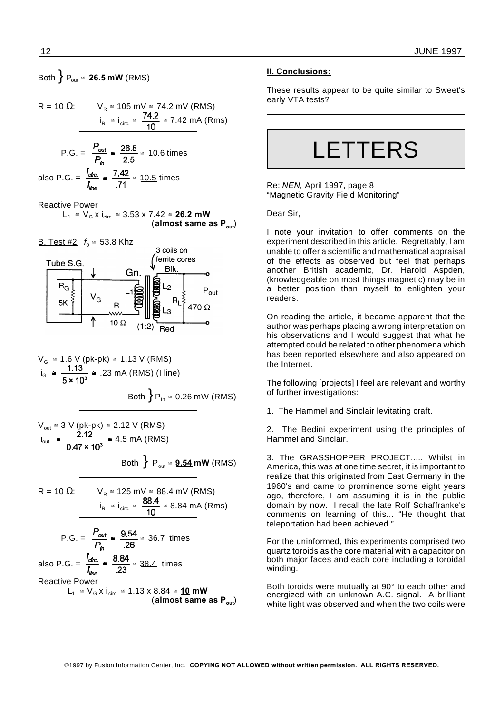## Both  ${ }$   ${P_{out}}$   $\cong$  **26.5 mW** (RMS)

R = 10 Ω: 
$$
V_R \approx 105 \text{ mV} \approx 74.2 \text{ mV (RMS)}
$$
  
 $i_R \approx i_{\text{circ}} \approx \frac{74.2}{10} \approx 7.42 \text{ mA (Rms)}$ 

$$
P.G. = \frac{P_{out}}{P_h} \approx \frac{26.5}{2.5} \approx \frac{10.6 \text{ times}}{10.6 \text{ times}}
$$
  
also P.G. =  $\frac{I_{circ}}{I_{line}} \approx \frac{7.42}{.71} \approx \frac{10.5 \text{ times}}{10.5 \text{ times}}$ 

Reactive Power

$$
L_1 \cong V_G \times i_{\text{circ.}} \cong 3.53 \times 7.42 \cong \underline{\text{26.2}} \text{ mW}
$$
\n(almost same as P<sub>out</sub>)

**B.** Test #2  $f_0 \approx 53.8$  Khz



$$
V_G \approx 1.6 \text{ V (pk-pk)} \approx 1.13 \text{ V (RMS)}
$$
  
\n $i_G \approx \frac{1.13}{5 \times 10^3} \approx .23 \text{ mA (RMS) (l line)}$   
\nBoth  $\}P_{in} \approx \frac{0.26}{3} \text{ mW (RMS)}$ 

$$
V_{\text{out}} \cong 3 \text{ V (pk-pk)} \cong 2.12 \text{ V (RMS)}
$$
  
\n
$$
i_{\text{out}} \cong \frac{2.12}{0.47 \times 10^3} \cong 4.5 \text{ mA (RMS)}
$$
  
\nBoth  $\Big\}$  P<sub>out</sub>  $\cong$  9.54 mW (RMS)

R = 10 Ω: 
$$
V_R \approx 125 \text{ mV} \approx 88.4 \text{ mV (RMS)}
$$
  
 $i_R \approx i_{\text{circ}} \approx \frac{88.4}{10} \approx 8.84 \text{ mA (Rms)}$ 

P.G. = 
$$
\frac{P_{out}}{P_h}
$$
 =  $\frac{9.54}{.26}$  = 36.7 times  
also P.G. =  $\frac{i_{circ}}{i_{line}}$  =  $\frac{8.84}{.23}$  = 38.4 times  
Reactive Power  
L<sub>1</sub> ≈ V<sub>G</sub> x i<sub>circ</sub> ≈ 1.13 x 8.84 ≈ 10 mW  
(almost same as P<sub>out</sub>)

#### **II. Conclusions:**

These results appear to be quite similar to Sweet's early VTA tests?

LETTERS

Re: *NEN*, April 1997, page 8 "Magnetic Gravity Field Monitoring"

Dear Sir,

I note your invitation to offer comments on the experiment described in this article. Regrettably, I am unable to offer a scientific and mathematical appraisal of the effects as observed but feel that perhaps another British academic, Dr. Harold Aspden, (knowledgeable on most things magnetic) may be in a better position than myself to enlighten your readers.

On reading the article, it became apparent that the author was perhaps placing a wrong interpretation on his observations and I would suggest that what he attempted could be related to other phenomena which has been reported elsewhere and also appeared on the Internet.

The following [projects] I feel are relevant and worthy of further investigations:

1. The Hammel and Sinclair levitating craft.

2. The Bedini experiment using the principles of Hammel and Sinclair.

3. The GRASSHOPPER PROJECT..... Whilst in America, this was at one time secret, it is important to realize that this originated from East Germany in the 1960's and came to prominence some eight years ago, therefore, I am assuming it is in the public domain by now. I recall the late Rolf Schaffranke's comments on learning of this... "He thought that teleportation had been achieved."

For the uninformed, this experiments comprised two quartz toroids as the core material with a capacitor on both major faces and each core including a toroidal winding.

Both toroids were mutually at 90° to each other and energized with an unknown A.C. signal. A brilliant white light was observed and when the two coils were

©1997 by Fusion Information Center, Inc. **COPYING NOT ALLOWED without written permission. ALL RIGHTS RESERVED.**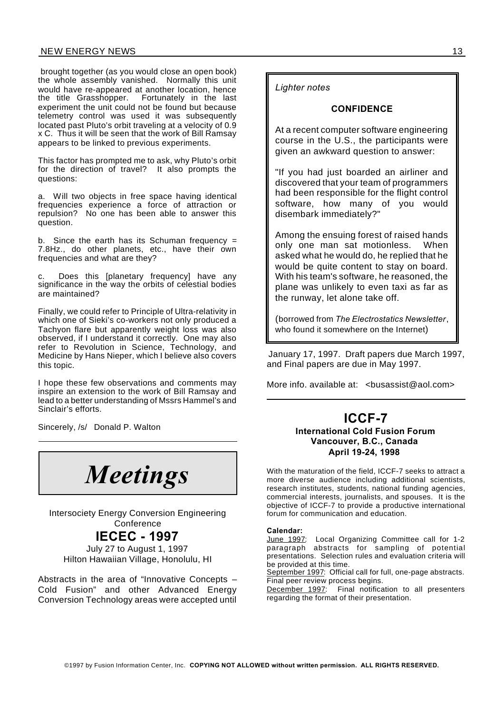#### NEW ENERGY NEWS 13

brought together (as you would close an open book) the whole assembly vanished. Normally this unit would have re-appeared at another location, hence<br>the title Grasshopper. Fortunately in the last Fortunately in the last experiment the unit could not be found but because telemetry control was used it was subsequently located past Pluto's orbit traveling at a velocity of 0.9 x C. Thus it will be seen that the work of Bill Ramsay appears to be linked to previous experiments.

This factor has prompted me to ask, why Pluto's orbit for the direction of travel? It also prompts the questions:

a. Will two objects in free space having identical frequencies experience a force of attraction or repulsion? No one has been able to answer this question.

b. Since the earth has its Schuman frequency = 7.8Hz., do other planets, etc., have their own frequencies and what are they?

c. Does this [planetary frequency] have any significance in the way the orbits of celestial bodies are maintained?

Finally, we could refer to Principle of Ultra-relativity in which one of Sieki's co-workers not only produced a Tachyon flare but apparently weight loss was also observed, if I understand it correctly. One may also refer to Revolution in Science, Technology, and Medicine by Hans Nieper, which I believe also covers this topic.

I hope these few observations and comments may inspire an extension to the work of Bill Ramsay and lead to a better understanding of Mssrs Hammel's and Sinclair's efforts.

Sincerely, /s/ Donald P. Walton

![](_page_12_Picture_9.jpeg)

Intersociety Energy Conversion Engineering **Conference** 

## **IECEC - 1997**

July 27 to August 1, 1997 Hilton Hawaiian Village, Honolulu, HI

Abstracts in the area of "Innovative Concepts – Cold Fusion" and other Advanced Energy Conversion Technology areas were accepted until *Lighter notes*

#### **CONFIDENCE**

At a recent computer software engineering course in the U.S., the participants were given an awkward question to answer:

"If you had just boarded an airliner and discovered that your team of programmers had been responsible for the flight control software, how many of you would disembark immediatelv?"

Among the ensuing forest of raised hands only one man sat motionless. When asked what he would do, he replied that he would be quite content to stay on board. With his team's software, he reasoned, the plane was unlikely to even taxi as far as the runway, let alone take off.

(borrowed from *The Electrostatics Newsletter*, who found it somewhere on the Internet)

January 17, 1997. Draft papers due March 1997, and Final papers are due in May 1997.

More info. available at: <busassist@aol.com>

### **ICCF-7 International Cold Fusion Forum Vancouver, B.C., Canada April 19-24, 1998**

With the maturation of the field, ICCF-7 seeks to attract a more diverse audience including additional scientists, research institutes, students, national funding agencies, commercial interests, journalists, and spouses. It is the objective of ICCF-7 to provide a productive international forum for communication and education.

#### **Calendar:**

June 1997: Local Organizing Committee call for 1-2 paragraph abstracts for sampling of potential presentations. Selection rules and evaluation criteria will .<br>be provided at this time.

September 1997: Official call for full, one-page abstracts. Final peer review process begins.

December 1997: Final notification to all presenters regarding the format of their presentation.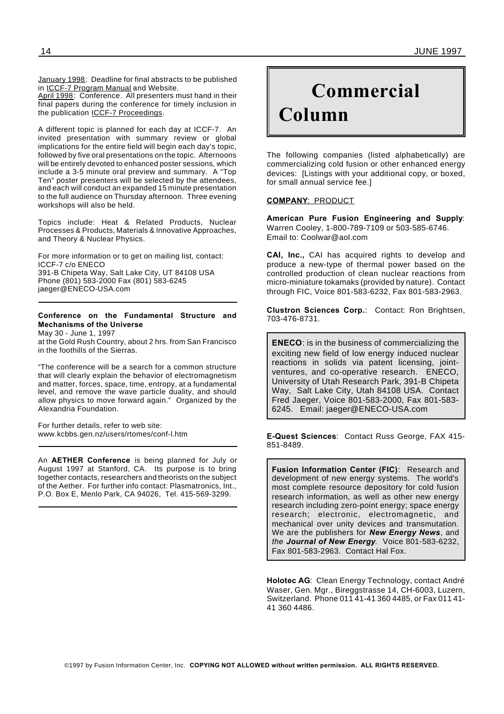January 1998: Deadline for final abstracts to be published in ICCF-7 Program Manual and Website.

April 1998: Conference. All presenters must hand in their final papers during the conference for timely inclusion in the publication ICCF-7 Proceedings.

A different topic is planned for each day at ICCF-7. An invited presentation with summary review or global implications for the entire field will begin each day's topic, followed by five oral presentations on the topic. Afternoons will be entirely devoted to enhanced poster sessions, which include a 3-5 minute oral preview and summary. A "Top Ten" poster presenters will be selected by the attendees, and each will conduct an expanded 15 minute presentation to the full audience on Thursday afternoon. Three evening workshops will also be held.

Topics include: Heat & Related Products, Nuclear Processes & Products, Materials & Innovative Approaches, and Theory & Nuclear Physics.

For more information or to get on mailing list, contact: ICCF-7 c/o ENECO 391-B Chipeta Way, Salt Lake City, UT 84108 USA Phone (801) 583-2000 Fax (801) 583-6245 jaeger@ENECO-USA.com

#### **Conference on the Fundamental Structure and Mechanisms of the Universe**

May 30 - June 1, 1997

at the Gold Rush Country, about 2 hrs. from San Francisco in the foothills of the Sierras.

"The conference will be a search for a common structure that will clearly explain the behavior of electromagnetism and matter, forces, space, time, entropy, at a fundamental level, and remove the wave particle duality, and should allow physics to move forward again." Organized by the Alexandria Foundation.

For further details, refer to web site: www.kcbbs.gen.nz/users/rtomes/conf-l.htm

An **AETHER Conference** is being planned for July or August 1997 at Stanford, CA. Its purpose is to bring together contacts, researchers and theorists on the subject of the Aether. For further info contact: Plasmatronics, Int., P.O. Box E, Menlo Park, CA 94026, Tel. 415-569-3299.

# **Commercial Column**

The following companies (listed alphabetically) are commercializing cold fusion or other enhanced energy devices: [Listings with your additional copy, or boxed, for small annual service fee.]

#### **COMPANY**: PRODUCT

**American Pure Fusion Engineering and Supply**: Warren Cooley, 1-800-789-7109 or 503-585-6746. Email to: Coolwar@aol.com

**CAI, Inc.,** CAI has acquired rights to develop and produce a new-type of thermal power based on the controlled production of clean nuclear reactions from micro-miniature tokamaks (provided by nature). Contact through FIC, Voice 801-583-6232, Fax 801-583-2963.

**Clustron Sciences Corp.**: Contact: Ron Brightsen, 703-476-8731.

**ENECO**: is in the business of commercializing the exciting new field of low energy induced nuclear reactions in solids via patent licensing, jointventures, and co-operative research. ENECO, University of Utah Research Park, 391-B Chipeta Way, Salt Lake City, Utah 84108 USA. Contact Fred Jaeger, Voice 801-583-2000, Fax 801-583- 6245. Email: jaeger@ENECO-USA.com

**E-Quest Sciences**: Contact Russ George, FAX 415- 851-8489.

**Fusion Information Center (FIC)**: Research and development of new energy systems. The world's most complete resource depository for cold fusion research information, as well as other new energy research including zero-point energy; space energy research; electronic, electromagnetic, and mechanical over unity devices and transmutation. We are the publishers for *New Energy News*, and *the Journal of New Energy.* Voice 801-583-6232, Fax 801-583-2963. Contact Hal Fox.

**Holotec AG**: Clean Energy Technology, contact André Waser, Gen. Mgr., Bireggstrasse 14, CH-6003, Luzern, Switzerland. Phone 011 41-41 360 4485, or Fax 011 41- 41 360 4486.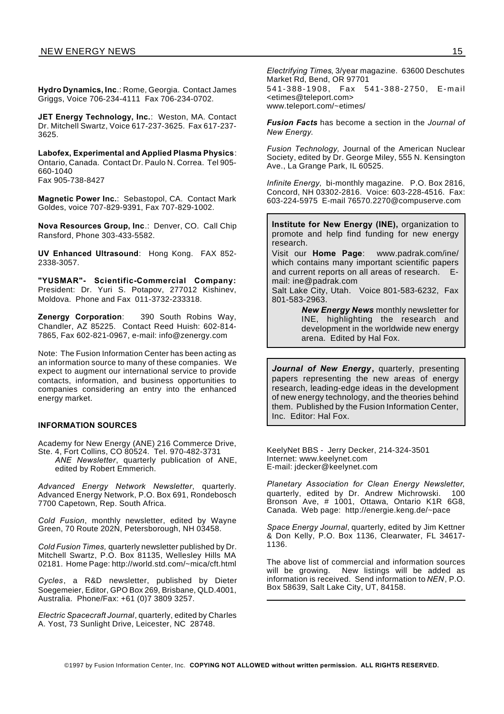**Hydro Dynamics, Inc**.: Rome, Georgia. Contact James Griggs, Voice 706-234-4111 Fax 706-234-0702.

**JET Energy Technology, Inc.**: Weston, MA. Contact Dr. Mitchell Swartz, Voice 617-237-3625. Fax 617-237- 3625.

**Labofex, Experimental and Applied Plasma Physics**: Ontario, Canada. Contact Dr. Paulo N. Correa. Tel 905- 660-1040 Fax 905-738-8427

**Magnetic Power Inc.**: Sebastopol, CA. Contact Mark Goldes, voice 707-829-9391, Fax 707-829-1002.

**Nova Resources Group, Inc**.: Denver, CO. Call Chip Ransford, Phone 303-433-5582.

**UV Enhanced Ultrasound**: Hong Kong. FAX 852- 2338-3057.

**"YUSMAR"- Scientific-Commercial Company:** President: Dr. Yuri S. Potapov, 277012 Kishinev, Moldova. Phone and Fax 011-3732-233318.

**Zenergy Corporation**: 390 South Robins Way, Chandler, AZ 85225. Contact Reed Huish: 602-814- 7865, Fax 602-821-0967, e-mail: info@zenergy.com

Note: The Fusion Information Center has been acting as an information source to many of these companies. We expect to augment our international service to provide contacts, information, and business opportunities to companies considering an entry into the enhanced energy market.

#### **INFORMATION SOURCES**

Academy for New Energy (ANE) 216 Commerce Drive,

Ste. 4, Fort Collins, CO 80524. Tel. 970-482-3731 *ANE Newsletter*, quarterly publication of ANE, edited by Robert Emmerich.

*Advanced Energy Network Newsletter*, quarterly. Advanced Energy Network, P.O. Box 691, Rondebosch 7700 Capetown, Rep. South Africa.

*Cold Fusion*, monthly newsletter, edited by Wayne Green, 70 Route 202N, Petersborough, NH 03458.

*Cold Fusion Times,* quarterly newsletter published by Dr. Mitchell Swartz, P.O. Box 81135, Wellesley Hills MA 02181. Home Page: http://world.std.com/~mica/cft.html

*Cycles*, a R&D newsletter, published by Dieter Soegemeier, Editor, GPO Box 269, Brisbane, QLD.4001, Australia. Phone/Fax: +61 (0)7 3809 3257.

*Electric Spacecraft Journal*, quarterly, edited by Charles A. Yost, 73 Sunlight Drive, Leicester, NC 28748.

*Electrifying Times*, 3/year magazine. 63600 Deschutes Market Rd, Bend, OR 97701

541-3 88-1908 , Fax 541-38 8-2750, E-m ail <etimes@teleport.com> www.teleport.com/~etimes/

*Fusion Facts* has become a section in the *Journal of New Energy*.

*Fusion Technology,* Journal of the American Nuclear Society, edited by Dr. George Miley, 555 N. Kensington Ave., La Grange Park, IL 60525.

*Infinite Energy,* bi-monthly magazine. P.O. Box 2816, Concord, NH 03302-2816. Voice: 603-228-4516. Fax: 603-224-5975 E-mail 76570.2270@compuserve.com

**Institute for New Energy (INE),** organization to promote and help find funding for new energy research.

Visit our **Home Page**: www.padrak.com/ine/ which contains many important scientific papers and current reports on all areas of research. Email: ine@padrak.com

Salt Lake City, Utah. Voice 801-583-6232, Fax 801-583-2963.

> *New Energy News* monthly newsletter for INE, highlighting the research and development in the worldwide new energy arena. Edited by Hal Fox.

*Journal of New Energy***,** quarterly, presenting papers representing the new areas of energy research, leading-edge ideas in the development of new energy technology, and the theories behind them. Published by the Fusion Information Center, Inc. Editor: Hal Fox.

KeelyNet BBS - Jerry Decker, 214-324-3501 Internet: www.keelynet.com E-mail: jdecker@keelynet.com

*Planetary Association for Clean Energy Newsletter*, quarterly, edited by Dr. Andrew Michrowski. 100 Bronson Ave, # 1001, Ottawa, Ontario K1R 6G8, Canada. Web page: http://energie.keng.de/~pace

*Space Energy Journal*, quarterly, edited by Jim Kettner & Don Kelly, P.O. Box 1136, Clearwater, FL 34617- 1136.

The above list of commercial and information sources will be growing. New listings will be added as information is received. Send information to *NEN*, P.O. Box 58639, Salt Lake City, UT, 84158.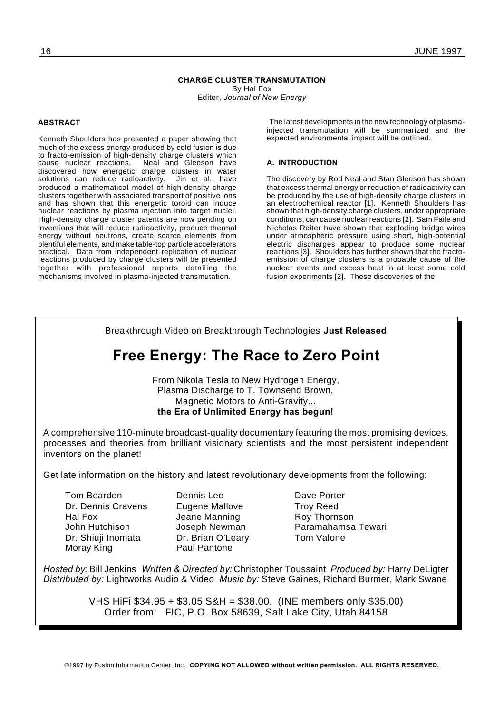#### **CHARGE CLUSTER TRANSMUTATION** By Hal Fox Editor, *Journal of New Energy*

#### **ABSTRACT**

Kenneth Shoulders has presented a paper showing that much of the excess energy produced by cold fusion is due to fracto-emission of high-density charge clusters which cause nuclear reactions. Neal and Gleeson have discovered how energetic charge clusters in water solutions can reduce radioactivity. Jin et al., have produced a mathematical model of high-density charge clusters together with associated transport of positive ions and has shown that this energetic toroid can induce nuclear reactions by plasma injection into target nuclei. High-density charge cluster patents are now pending on inventions that will reduce radioactivity, produce thermal energy without neutrons, create scarce elements from plentiful elements, and make table-top particle accelerators practical. Data from independent replication of nuclear reactions produced by charge clusters will be presented together with professional reports detailing the mechanisms involved in plasma-injected transmutation.

The latest developments in the new technology of plasmainjected transmutation will be summarized and the expected environmental impact will be outlined.

#### **A. INTRODUCTION**

The discovery by Rod Neal and Stan Gleeson has shown that excess thermal energy or reduction of radioactivity can be produced by the use of high-density charge clusters in an electrochemical reactor [1]. Kenneth Shoulders has shown that high-density charge clusters, under appropriate conditions, can cause nuclear reactions [2]. Sam Faile and Nicholas Reiter have shown that exploding bridge wires under atmospheric pressure using short, high-potential electric discharges appear to produce some nuclear reactions [3]. Shoulders has further shown that the fractoemission of charge clusters is a probable cause of the nuclear events and excess heat in at least some cold fusion experiments [2]. These discoveries of the

Breakthrough Video on Breakthrough Technologies **Just Released Free Energy: The Race to Zero Point** From Nikola Tesla to New Hydrogen Energy, Plasma Discharge to T. Townsend Brown, Magnetic Motors to Anti-Gravity... **the Era of Unlimited Energy has begun!** A comprehensive 110-minute broadcast-quality documentary featuring the most promising devices, processes and theories from brilliant visionary scientists and the most persistent independent inventors on the planet! Get late information on the history and latest revolutionary developments from the following: Tom Bearden **Dennis Lee** Dennis Lee Dave Porter Dr. Dennis Cravens Eugene Mallove Troy Reed Hal Fox **Jeane Manning** Roy Thornson John Hutchison Joseph Newman Paramahamsa Tewari Dr. Shiuji Inomata Dr. Brian O'Leary Tom Valone Moray King **Paul Pantone** *Hosted by*: Bill Jenkins *Written & Directed by:* Christopher Toussaint *Produced by:* Harry DeLigter *Distributed by:* Lightworks Audio & Video *Music by:* Steve Gaines, Richard Burmer, Mark Swane

> VHS HiFi \$34.95 + \$3.05 S&H = \$38.00. (INE members only \$35.00) Order from: FIC, P.O. Box 58639, Salt Lake City, Utah 84158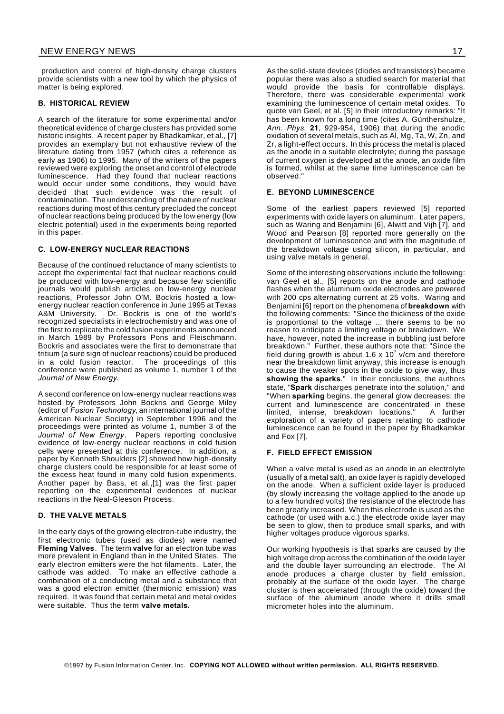production and control of high-density charge clusters provide scientists with a new tool by which the physics of matter is being explored.

#### **B. HISTORICAL REVIEW**

A search of the literature for some experimental and/or theoretical evidence of charge clusters has provided some historic insights. A recent paper by Bhadkamkar, et al., [7] provides an exemplary but not exhaustive review of the literature dating from 1957 (which cites a reference as early as 1906) to 1995. Many of the writers of the papers reviewed were exploring the onset and control of electrode luminescence. Had they found that nuclear reactions would occur under some conditions, they would have decided that such evidence was the result of contamination. The understanding of the nature of nuclear reactions during most of this century precluded the concept of nuclear reactions being produced by the low energy (low electric potential) used in the experiments being reported in this paper.

#### **C. LOW-ENERGY NUCLEAR REACTIONS**

Because of the continued reluctance of many scientists to accept the experimental fact that nuclear reactions could be produced with low-energy and because few scientific journals would publish articles on low-energy nuclear reactions, Professor John O'M. Bockris hosted a lowenergy nuclear reaction conference in June 1995 at Texas A&M University. Dr. Bockris is one of the world's recognized specialists in electrochemistry and was one of the first to replicate the cold fusion experiments announced in March 1989 by Professors Pons and Fleischmann. Bockris and associates were the first to demonstrate that tritium (a sure sign of nuclear reactions) could be produced in a cold fusion reactor. The proceedings of this conference were published as volume 1, number 1 of the *Journal of New Energy*.

A second conference on low-energy nuclear reactions was hosted by Professors John Bockris and George Miley (editor of *Fusion Technology*, an international journal of the American Nuclear Society) in September 1996 and the proceedings were printed as volume 1, number 3 of the *Journal of New Energy*. Papers reporting conclusive evidence of low-energy nuclear reactions in cold fusion cells were presented at this conference. In addition, a paper by Kenneth Shoulders [2] showed how high-density charge clusters could be responsible for at least some of the excess heat found in many cold fusion experiments. Another paper by Bass, et al.,[1] was the first paper reporting on the experimental evidences of nuclear reactions in the Neal-Gleeson Process.

#### **D. THE VALVE METALS**

In the early days of the growing electron-tube industry, the first electronic tubes (used as diodes) were named **Fleming Valves**. The term **valve** for an electron tube was more prevalent in England than in the United States. The early electron emitters were the hot filaments. Later, the cathode was added. To make an effective cathode a combination of a conducting metal and a substance that was a good electron emitter (thermionic emission) was required. It was found that certain metal and metal oxides were suitable. Thus the term **valve metals.**

As the solid-state devices (diodes and transistors) became popular there was also a studied search for material that would provide the basis for controllable displays. Therefore, there was considerable experimental work examining the luminescence of certain metal oxides. To quote van Geel, et al. [5] in their introductory remarks: "It has been known for a long time (cites A. Günthershulze, *Ann. Phys.* **21**, 929-954, 1906) that during the anodic oxidation of several metals, such as Al, Mg, Ta, W, Zn, and Zr, a light-effect occurs. In this process the metal is placed as the anode in a suitable electrolyte; during the passage of current oxygen is developed at the anode, an oxide film is formed, whilst at the same time luminescence can be observed."

#### **E. BEYOND LUMINESCENCE**

Some of the earliest papers reviewed [5] reported experiments with oxide layers on aluminum. Later papers, such as Waring and Benjamini [6], Alwitt and Vijh [7], and Wood and Pearson [8] reported more generally on the development of luminescence and with the magnitude of the breakdown voltage using silicon, in particular, and using valve metals in general.

Some of the interesting observations include the following: van Geel et al., [5] reports on the anode and cathode flashes when the aluminum oxide electrodes are powered with 200 cps alternating current at 25 volts. Waring and Benjamini [6] report on the phenomena of **breakdown** with the following comments: "Since the thickness of the oxide is proportional to the voltage ... there seems to be no reason to anticipate a limiting voltage or breakdown. We have, however, noted the increase in bubbling just before breakdown." Further, these authors note that: "Since the field during growth is about 1.6 x 10<sup>7</sup> v/cm and therefore near the breakdown limit anyway, this increase is enough to cause the weaker spots in the oxide to give way, thus **showing the sparks**." In their conclusions, the authors state, "**Spark** discharges penetrate into the solution," and "When **sparking** begins, the general glow decreases; the current and luminescence are concentrated in these<br>limited, intense, breakdown locations." A further limited, intense, breakdown locations." exploration of a variety of papers relating to cathode luminescence can be found in the paper by Bhadkamkar and Fox [7].

#### **F. FIELD EFFECT EMISSION**

When a valve metal is used as an anode in an electrolyte (usually of a metal salt), an oxide layer is rapidly developed on the anode. When a sufficient oxide layer is produced (by slowly increasing the voltage applied to the anode up to a few hundred volts) the resistance of the electrode has been greatly increased. When this electrode is used as the cathode (or used with a.c.) the electrode oxide layer may be seen to glow, then to produce small sparks, and with higher voltages produce vigorous sparks.

Our working hypothesis is that sparks are caused by the high voltage drop across the combination of the oxide layer and the double layer surrounding an electrode. The Al anode produces a charge cluster by field emission, probably at the surface of the oxide layer. The charge cluster is then accelerated (through the oxide) toward the surface of the aluminum anode where it drills small micrometer holes into the aluminum.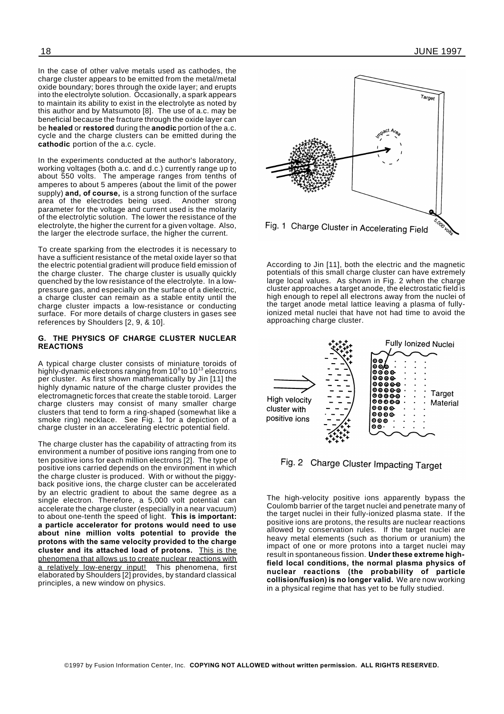In the case of other valve metals used as cathodes, the charge cluster appears to be emitted from the metal/metal oxide boundary; bores through the oxide layer; and erupts into the electrolyte solution. Occasionally, a spark appears to maintain its ability to exist in the electrolyte as noted by this author and by Matsumoto [8]. The use of a.c. may be beneficial because the fracture through the oxide layer can be **healed** or **restored** during the **anodic** portion of the a.c. cycle and the charge clusters can be emitted during the **cathodic** portion of the a.c. cycle.

In the experiments conducted at the author's laboratory, working voltages (both a.c. and d.c.) currently range up to about 550 volts. The amperage ranges from tenths of amperes to about 5 amperes (about the limit of the power supply) **and, of course,** is a strong function of the surface area of the electrodes being used. Another strong parameter for the voltage and current used is the molarity of the electrolytic solution. The lower the resistance of the electrolyte, the higher the current for a given voltage. Also, the larger the electrode surface, the higher the current.

To create sparking from the electrodes it is necessary to have a sufficient resistance of the metal oxide layer so that the electric potential gradient will produce field emission of the charge cluster. The charge cluster is usually quickly quenched by the low resistance of the electrolyte. In a lowpressure gas, and especially on the surface of a dielectric, a charge cluster can remain as a stable entity until the charge cluster impacts a low-resistance or conducting surface. For more details of charge clusters in gases see references by Shoulders [2, 9, & 10].

#### **G. THE PHYSICS OF CHARGE CLUSTER NUCLEAR REACTIONS**

A typical charge cluster consists of miniature toroids of highly-dynamic electrons ranging from 10 $^{\rm 8}$ to 10 $^{\rm 13}$  electrons per cluster. As first shown mathematically by Jin [11] the highly dynamic nature of the charge cluster provides the electromagnetic forces that create the stable toroid. Larger charge clusters may consist of many smaller charge clusters that tend to form a ring-shaped (somewhat like a smoke ring) necklace. See Fig. 1 for a depiction of a charge cluster in an accelerating electric potential field.

The charge cluster has the capability of attracting from its environment a number of positive ions ranging from one to ten positive ions for each million electrons [2]. The type of positive ions carried depends on the environment in which the charge cluster is produced. With or without the piggyback positive ions, the charge cluster can be accelerated by an electric gradient to about the same degree as a single electron. Therefore, a 5,000 volt potential can accelerate the charge cluster (especially in a near vacuum) to about one-tenth the speed of light. **This is important: a particle accelerator for protons would need to use about nine million volts potential to provide the protons with the same velocity provided to the charge cluster and its attached load of protons.** This is the phenomena that allows us to create nuclear reactions with a relatively low-energy input! This phenomena, first a relatively low-energy input! elaborated by Shoulders [2] provides, by standard classical principles, a new window on physics.

![](_page_17_Figure_8.jpeg)

According to Jin [11], both the electric and the magnetic potentials of this small charge cluster can have extremely large local values. As shown in Fig. 2 when the charge cluster approaches a target anode, the electrostatic field is high enough to repel all electrons away from the nuclei of the target anode metal lattice leaving a plasma of fullyionized metal nuclei that have not had time to avoid the approaching charge cluster.

![](_page_17_Figure_10.jpeg)

## Fig. 2 Charge Cluster Impacting Target

The high-velocity positive ions apparently bypass the Coulomb barrier of the target nuclei and penetrate many of the target nuclei in their fully-ionized plasma state. If the positive ions are protons, the results are nuclear reactions allowed by conservation rules. If the target nuclei are heavy metal elements (such as thorium or uranium) the impact of one or more protons into a target nuclei may result in spontaneous fission. **Under these extreme highfield local conditions, the normal plasma physics of nuclear reactions (the probability of particle collision/fusion) is no longer valid.** We are now working in a physical regime that has yet to be fully studied.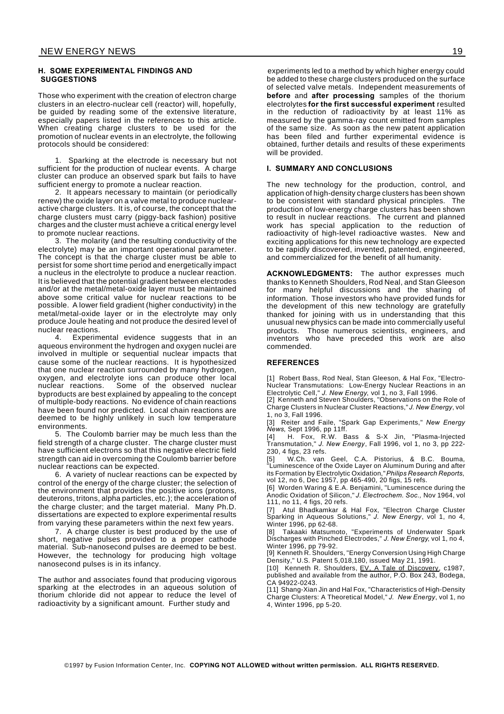#### **H. SOME EXPERIMENTAL FINDINGS AND SUGGESTIONS**

Those who experiment with the creation of electron charge clusters in an electro-nuclear cell (reactor) will, hopefully, be guided by reading some of the extensive literature, especially papers listed in the references to this article. When creating charge clusters to be used for the promotion of nuclear events in an electrolyte, the following protocols should be considered:

1. Sparking at the electrode is necessary but not sufficient for the production of nuclear events. A charge cluster can produce an observed spark but fails to have sufficient energy to promote a nuclear reaction.

2. It appears necessary to maintain (or periodically renew) the oxide layer on a valve metal to produce nuclearactive charge clusters. It is, of course, the concept that the charge clusters must carry (piggy-back fashion) positive charges and the cluster must achieve a critical energy level to promote nuclear reactions.

3. The molarity (and the resulting conductivity of the electrolyte) may be an important operational parameter. The concept is that the charge cluster must be able to persist for some short time period and energetically impact a nucleus in the electrolyte to produce a nuclear reaction. It is believed that the potential gradient between electrodes and/or at the metal/metal-oxide layer must be maintained above some critical value for nuclear reactions to be possible. A lower field gradient (higher conductivity) in the metal/metal-oxide layer or in the electrolyte may only produce Joule heating and not produce the desired level of nuclear reactions.<br>4. Experim

Experimental evidence suggests that in an aqueous environment the hydrogen and oxygen nuclei are involved in multiple or sequential nuclear impacts that cause some of the nuclear reactions. It is hypothesized that one nuclear reaction surrounded by many hydrogen, oxygen, and electrolyte ions can produce other local Some of the observed nuclear byproducts are best explained by appealing to the concept of multiple-body reactions. No evidence of chain reactions have been found nor predicted. Local chain reactions are deemed to be highly unlikely in such low temperature environments.

5. The Coulomb barrier may be much less than the field strength of a charge cluster. The charge cluster must have sufficient electrons so that this negative electric field strength can aid in overcoming the Coulomb barrier before nuclear reactions can be expected.

6. A variety of nuclear reactions can be expected by control of the energy of the charge cluster; the selection of the environment that provides the positive ions (protons, deuterons, tritons, alpha particles, etc.); the acceleration of the charge cluster; and the target material. Many Ph.D. dissertations are expected to explore experimental results from varying these parameters within the next few years.

7. A charge cluster is best produced by the use of short, negative pulses provided to a proper cathode material. Sub-nanosecond pulses are deemed to be best. However, the technology for producing high voltage nanosecond pulses is in its infancy.

The author and associates found that producing vigorous sparking at the electrodes in an aqueous solution of thorium chloride did not appear to reduce the level of radioactivity by a significant amount. Further study and

experiments led to a method by which higher energy could be added to these charge clusters produced on the surface of selected valve metals. Independent measurements of **before** and **after processing** samples of the thorium electrolytes **for the first successful experiment** resulted in the reduction of radioactivity by at least 11% as measured by the gamma-ray count emitted from samples of the same size. As soon as the new patent application has been filed and further experimental evidence is obtained, further details and results of these experiments will be provided.

#### **I. SUMMARY AND CONCLUSIONS**

The new technology for the production, control, and application of high-density charge clusters has been shown to be consistent with standard physical principles. The production of low-energy charge clusters has been shown to result in nuclear reactions. The current and planned work has special application to the reduction of radioactivity of high-level radioactive wastes. New and exciting applications for this new technology are expected to be rapidly discovered, invented, patented, engineered, and commercialized for the benefit of all humanity.

**ACKNOWLEDGMENTS:** The author expresses much thanks to Kenneth Shoulders, Rod Neal, and Stan Gleeson for many helpful discussions and the sharing of information. Those investors who have provided funds for the development of this new technology are gratefully thanked for joining with us in understanding that this unusual new physics can be made into commercially useful products. Those numerous scientists, engineers, and inventors who have preceded this work are also commended.

#### **REFERENCES**

[1] Robert Bass, Rod Neal, Stan Gleeson, & Hal Fox, "Electro-Nuclear Transmutations: Low-Energy Nuclear Reactions in an Electrolytic Cell," *J. New Energy*, vol 1, no 3, Fall 1996.

[2] Kenneth and Steven Shoulders, "Observations on the Role of Charge Clusters in Nuclear Cluster Reactions," *J. New Energy*, vol 1, no 3, Fall 1996.

[3] Reiter and Faile, "Spark Gap Experiments," *New Energy News*, Sept 1996, pp 11ff.

[4] H. Fox, R.W. Bass & S-X Jin, "Plasma-Injected Transmutation," *J. New Energy*, Fall 1996, vol 1, no 3, pp 222- 230, 4 figs, 23 refs.

[5] W.Ch. van Geel, C.A. Pistorius, & B.C. Bouma, "Luminescence of the Oxide Layer on Aluminum During and after its Formation by Electrolytic Oxidation,"*Philips Research Reports*, vol 12, no 6, Dec 1957, pp 465-490, 20 figs, 15 refs.

[6] Worden Waring & E.A. Benjamini, "Luminescence during the Anodic Oxidation of Silicon," *J. Electrochem. Soc.,* Nov 1964, vol 111, no 11, 4 figs, 20 refs.

[7] Atul Bhadkamkar & Hal Fox, "Electron Charge Cluster Sparking in Aqueous Solutions," *J. New Energy*, vol 1, no 4, Winter 1996, pp 62-68.

[8] Takaaki Matsumoto, "Experiments of Underwater Spark Discharges with Pinched Electrodes," *J. New Energy*, vol 1, no 4, Winter 1996, pp 79-92.

[9] Kenneth R. Shoulders, "Energy Conversion Using High Charge Density," U.S. Patent 5,018,180, issued May 21, 1991.

[10] Kenneth R. Shoulders, EV, A Tale of Discovery, c1987, published and available from the author, P.O. Box 243, Bodega, .<br>CA 94922-0243.

[11] Shang-Xian Jin and Hal Fox, "Characteristics of High-Density Charge Clusters: A Theoretical Model," *J. New Energy*, vol 1, no 4, Winter 1996, pp 5-20.